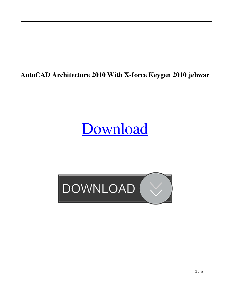## AutoCAD Architecture 2010 With X-force Keygen 2010 jehwar

## Download

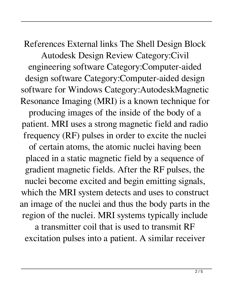References External links The Shell Design Block Autodesk Design Review Category:Civil engineering software Category:Computer-aided design software Category:Computer-aided design software for Windows Category:AutodeskMagnetic Resonance Imaging (MRI) is a known technique for producing images of the inside of the body of a patient. MRI uses a strong magnetic field and radio frequency (RF) pulses in order to excite the nuclei of certain atoms, the atomic nuclei having been

placed in a static magnetic field by a sequence of gradient magnetic fields. After the RF pulses, the nuclei become excited and begin emitting signals, which the MRI system detects and uses to construct an image of the nuclei and thus the body parts in the region of the nuclei. MRI systems typically include

a transmitter coil that is used to transmit RF excitation pulses into a patient. A similar receiver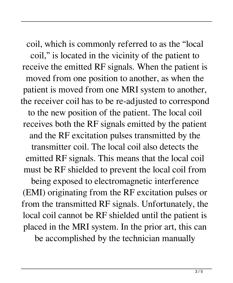coil, which is commonly referred to as the "local coil," is located in the vicinity of the patient to receive the emitted RF signals. When the patient is moved from one position to another, as when the patient is moved from one MRI system to another, the receiver coil has to be re-adjusted to correspond to the new position of the patient. The local coil receives both the RF signals emitted by the patient and the RF excitation pulses transmitted by the transmitter coil. The local coil also detects the emitted RF signals. This means that the local coil must be RF shielded to prevent the local coil from being exposed to electromagnetic interference (EMI) originating from the RF excitation pulses or from the transmitted RF signals. Unfortunately, the local coil cannot be RF shielded until the patient is placed in the MRI system. In the prior art, this can be accomplished by the technician manually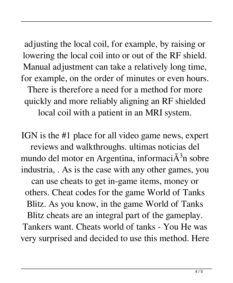adjusting the local coil, for example, by raising or lowering the local coil into or out of the RF shield. Manual adjustment can take a relatively long time, for example, on the order of minutes or even hours. There is therefore a need for a method for more quickly and more reliably aligning an RF shielded local coil with a patient in an MRI system.

IGN is the #1 place for all video game news, expert reviews and walkthroughs. ultimas noticias del mundo del motor en Argentina, informaci $\tilde{A}^3$ n sobre industria, . As is the case with any other games, you can use cheats to get in-game items, money or others. Cheat codes for the game World of Tanks Blitz. As you know, in the game World of Tanks Blitz cheats are an integral part of the gameplay. Tankers want. Cheats world of tanks - You He was very surprised and decided to use this method. Here